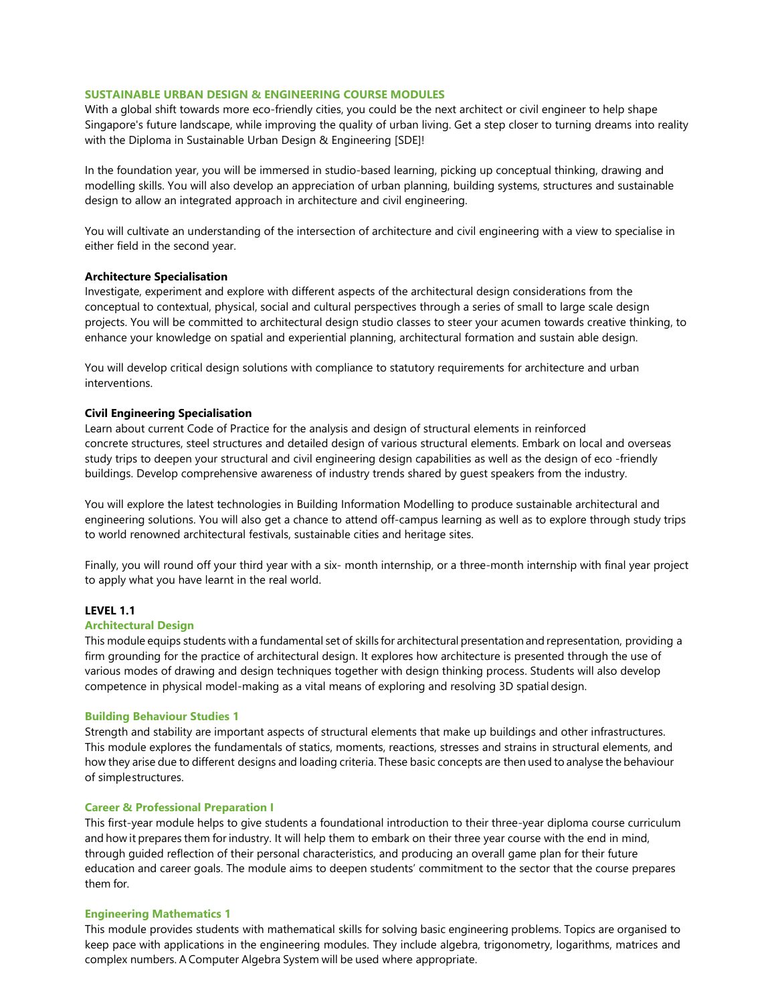# **SUSTAINABLE URBAN DESIGN & ENGINEERING COURSE MODULES**

With a global shift towards more eco-friendly cities, you could be the next architect or civil engineer to help shape Singapore's future landscape, while improving the quality of urban living. Get a step closer to turning dreams into reality with the Diploma in Sustainable Urban Design & Engineering [SDE]!

In the foundation year, you will be immersed in studio-based learning, picking up conceptual thinking, drawing and modelling skills. You will also develop an appreciation of urban planning, building systems, structures and sustainable design to allow an integrated approach in architecture and civil engineering.

You will cultivate an understanding of the intersection of architecture and civil engineering with a view to specialise in either field in the second year.

## **Architecture Specialisation**

Investigate, experiment and explore with different aspects of the architectural design considerations from the conceptual to contextual, physical, social and cultural perspectives through a series of small to large scale design projects. You will be committed to architectural design studio classes to steer your acumen towards creative thinking, to enhance your knowledge on spatial and experiential planning, architectural formation and sustain able design.

You will develop critical design solutions with compliance to statutory requirements for architecture and urban interventions.

## **Civil Engineering Specialisation**

Learn about current Code of Practice for the analysis and design of structural elements in reinforced concrete structures, steel structures and detailed design of various structural elements. Embark on local and overseas study trips to deepen your structural and civil engineering design capabilities as well as the design of eco -friendly buildings. Develop comprehensive awareness of industry trends shared by guest speakers from the industry.

You will explore the latest technologies in Building Information Modelling to produce sustainable architectural and engineering solutions. You will also get a chance to attend off-campus learning as well as to explore through study trips to world renowned architectural festivals, sustainable cities and heritage sites.

Finally, you will round off your third year with a six- month internship, or a three-month internship with final year project to apply what you have learnt in the real world.

### **LEVEL 1.1**

### **Architectural Design**

This module equips students with a fundamental set of skills for architectural presentation and representation, providing a firm grounding for the practice of architectural design. It explores how architecture is presented through the use of various modes of drawing and design techniques together with design thinking process. Students will also develop competence in physical model-making as a vital means of exploring and resolving 3D spatial design.

### **Building Behaviour Studies 1**

Strength and stability are important aspects of structural elements that make up buildings and other infrastructures. This module explores the fundamentals of statics, moments, reactions, stresses and strains in structural elements, and how they arise due to different designs and loading criteria. These basic concepts are then used to analyse the behaviour of simplestructures.

## **Career & Professional Preparation I**

This first-year module helps to give students a foundational introduction to their three-year diploma course curriculum and how it prepares them for industry. It will help them to embark on their three year course with the end in mind, through guided reflection of their personal characteristics, and producing an overall game plan for their future education and career goals. The module aims to deepen students' commitment to the sector that the course prepares them for.

### **Engineering Mathematics 1**

This module provides students with mathematical skills for solving basic engineering problems. Topics are organised to keep pace with applications in the engineering modules. They include algebra, trigonometry, logarithms, matrices and complex numbers. A Computer Algebra System will be used where appropriate.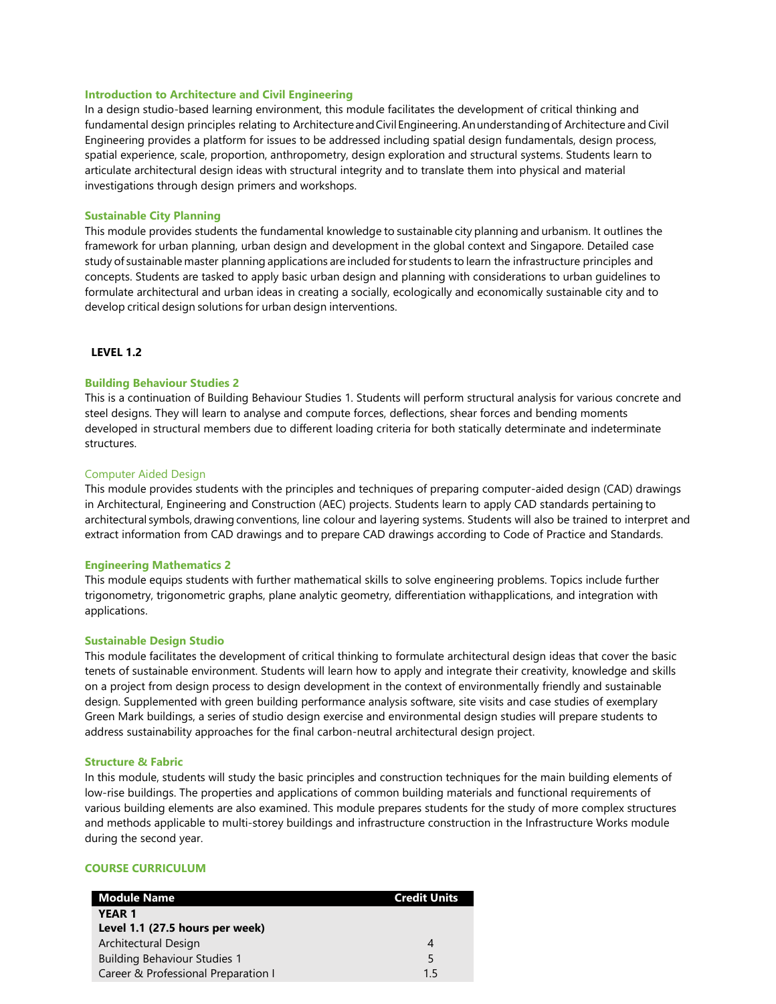### **Introduction to Architecture and Civil Engineering**

In a design studio-based learning environment, this module facilitates the development of critical thinking and fundamental design principles relating to Architecture and Civil Engineering. An understanding of Architecture and Civil Engineering provides a platform for issues to be addressed including spatial design fundamentals, design process, spatial experience, scale, proportion, anthropometry, design exploration and structural systems. Students learn to articulate architectural design ideas with structural integrity and to translate them into physical and material investigations through design primers and workshops.

### **Sustainable City Planning**

This module provides students the fundamental knowledge to sustainable city planning and urbanism. It outlines the framework for urban planning, urban design and development in the global context and Singapore. Detailed case study of sustainable master planning applications are included for students to learn the infrastructure principles and concepts. Students are tasked to apply basic urban design and planning with considerations to urban guidelines to formulate architectural and urban ideas in creating a socially, ecologically and economically sustainable city and to develop critical design solutions for urban design interventions.

# **LEVEL 1.2**

## **Building Behaviour Studies 2**

This is a continuation of Building Behaviour Studies 1. Students will perform structural analysis for various concrete and steel designs. They will learn to analyse and compute forces, deflections, shear forces and bending moments developed in structural members due to different loading criteria for both statically determinate and indeterminate structures.

## Computer Aided Design

This module provides students with the principles and techniques of preparing computer-aided design (CAD) drawings in Architectural, Engineering and Construction (AEC) projects. Students learn to apply CAD standards pertaining to architectural symbols, drawing conventions, line colour and layering systems. Students will also be trained to interpret and extract information from CAD drawings and to prepare CAD drawings according to Code of Practice and Standards.

### **Engineering Mathematics 2**

This module equips students with further mathematical skills to solve engineering problems. Topics include further trigonometry, trigonometric graphs, plane analytic geometry, differentiation withapplications, and integration with applications.

### **Sustainable Design Studio**

This module facilitates the development of critical thinking to formulate architectural design ideas that cover the basic tenets of sustainable environment. Students will learn how to apply and integrate their creativity, knowledge and skills on a project from design process to design development in the context of environmentally friendly and sustainable design. Supplemented with green building performance analysis software, site visits and case studies of exemplary Green Mark buildings, a series of studio design exercise and environmental design studies will prepare students to address sustainability approaches for the final carbon-neutral architectural design project.

### **Structure & Fabric**

In this module, students will study the basic principles and construction techniques for the main building elements of low-rise buildings. The properties and applications of common building materials and functional requirements of various building elements are also examined. This module prepares students for the study of more complex structures and methods applicable to multi-storey buildings and infrastructure construction in the Infrastructure Works module during the second year.

# **COURSE CURRICULUM**

| <b>Module Name</b>                  | <b>Credit Units</b> |
|-------------------------------------|---------------------|
| <b>YEAR 1</b>                       |                     |
| Level 1.1 (27.5 hours per week)     |                     |
| Architectural Design                |                     |
| <b>Building Behaviour Studies 1</b> | 5                   |
| Career & Professional Preparation I | 15                  |